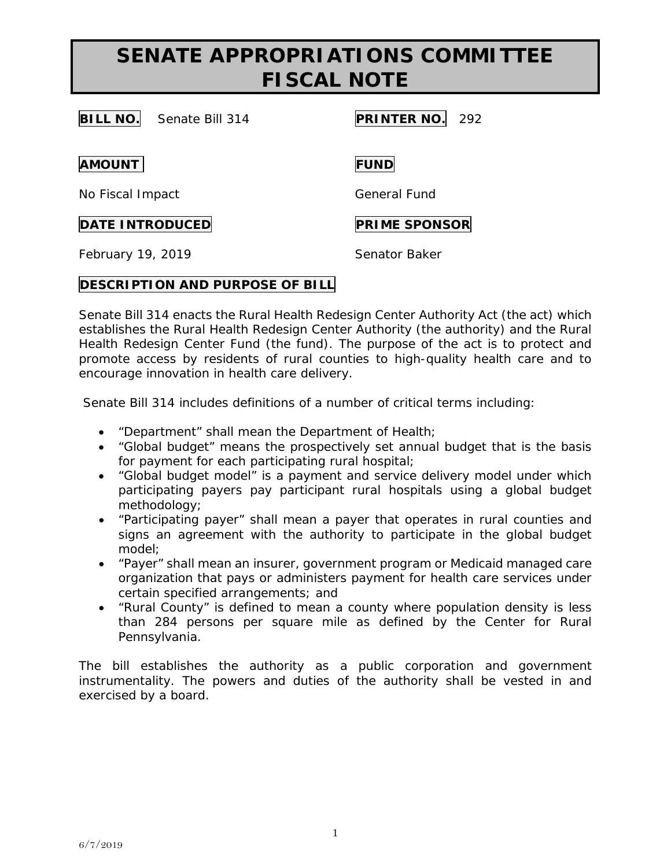**BILL NO.** Senate Bill 314 **PRINTER NO.** 292

**AMOUNT FUND**

No Fiscal Impact General Fund

### **DATE INTRODUCED PRIME SPONSOR**

February 19, 2019 **Senator Baker** 

### **DESCRIPTION AND PURPOSE OF BILL**

Senate Bill 314 enacts the Rural Health Redesign Center Authority Act (the act) which establishes the Rural Health Redesign Center Authority (the authority) and the Rural Health Redesign Center Fund (the fund). The purpose of the act is to protect and promote access by residents of rural counties to high-quality health care and to encourage innovation in health care delivery.

Senate Bill 314 includes definitions of a number of critical terms including:

- "Department" shall mean the Department of Health;
- "Global budget" means the prospectively set annual budget that is the basis for payment for each participating rural hospital;
- "Global budget model" is a payment and service delivery model under which participating payers pay participant rural hospitals using a global budget methodology;
- "Participating payer" shall mean a payer that operates in rural counties and signs an agreement with the authority to participate in the global budget model;
- "Payer" shall mean an insurer, government program or Medicaid managed care organization that pays or administers payment for health care services under certain specified arrangements; and
- "Rural County" is defined to mean a county where population density is less than 284 persons per square mile as defined by the Center for Rural Pennsylvania.

The bill establishes the authority as a public corporation and government instrumentality. The powers and duties of the authority shall be vested in and exercised by a board.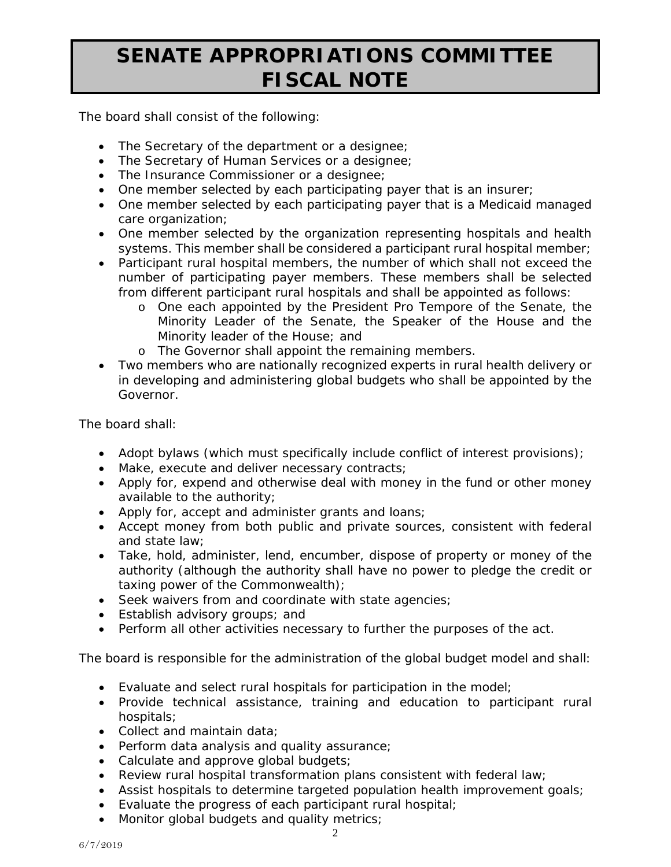The board shall consist of the following:

- The Secretary of the department or a designee;
- The Secretary of Human Services or a designee;
- The Insurance Commissioner or a designee;
- One member selected by each participating payer that is an insurer;
- One member selected by each participating payer that is a Medicaid managed care organization:
- One member selected by the organization representing hospitals and health systems. This member shall be considered a participant rural hospital member;
- Participant rural hospital members, the number of which shall not exceed the number of participating payer members. These members shall be selected from different participant rural hospitals and shall be appointed as follows:
	- o One each appointed by the President Pro Tempore of the Senate, the Minority Leader of the Senate, the Speaker of the House and the Minority leader of the House; and
	- o The Governor shall appoint the remaining members.
- Two members who are nationally recognized experts in rural health delivery or in developing and administering global budgets who shall be appointed by the Governor.

The board shall:

- Adopt bylaws (which must specifically include conflict of interest provisions);
- Make, execute and deliver necessary contracts;
- Apply for, expend and otherwise deal with money in the fund or other money available to the authority;
- Apply for, accept and administer grants and loans;
- Accept money from both public and private sources, consistent with federal and state law;
- Take, hold, administer, lend, encumber, dispose of property or money of the authority (although the authority shall have no power to pledge the credit or taxing power of the Commonwealth);
- Seek waivers from and coordinate with state agencies;
- Establish advisory groups; and
- Perform all other activities necessary to further the purposes of the act.

The board is responsible for the administration of the global budget model and shall:

- Evaluate and select rural hospitals for participation in the model;
- Provide technical assistance, training and education to participant rural hospitals;
- Collect and maintain data;
- Perform data analysis and quality assurance;
- Calculate and approve global budgets;
- Review rural hospital transformation plans consistent with federal law;
- Assist hospitals to determine targeted population health improvement goals;
- Evaluate the progress of each participant rural hospital;
- Monitor global budgets and quality metrics;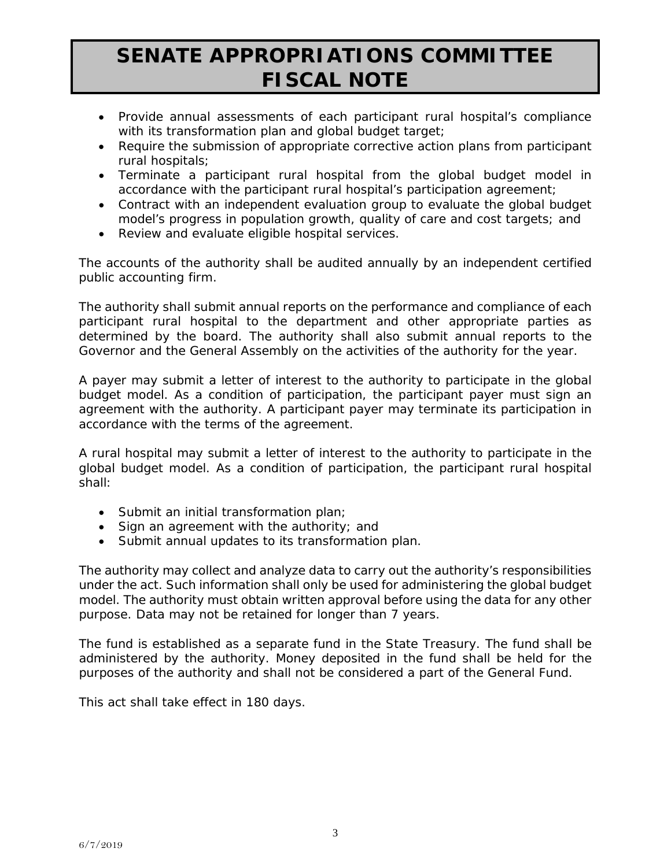- Provide annual assessments of each participant rural hospital's compliance with its transformation plan and global budget target;
- Require the submission of appropriate corrective action plans from participant rural hospitals;
- Terminate a participant rural hospital from the global budget model in accordance with the participant rural hospital's participation agreement;
- Contract with an independent evaluation group to evaluate the global budget model's progress in population growth, quality of care and cost targets; and
- Review and evaluate eligible hospital services.

The accounts of the authority shall be audited annually by an independent certified public accounting firm.

The authority shall submit annual reports on the performance and compliance of each participant rural hospital to the department and other appropriate parties as determined by the board. The authority shall also submit annual reports to the Governor and the General Assembly on the activities of the authority for the year.

A payer may submit a letter of interest to the authority to participate in the global budget model. As a condition of participation, the participant payer must sign an agreement with the authority. A participant payer may terminate its participation in accordance with the terms of the agreement.

A rural hospital may submit a letter of interest to the authority to participate in the global budget model. As a condition of participation, the participant rural hospital shall:

- Submit an initial transformation plan;
- Sign an agreement with the authority; and
- Submit annual updates to its transformation plan.

The authority may collect and analyze data to carry out the authority's responsibilities under the act. Such information shall only be used for administering the global budget model. The authority must obtain written approval before using the data for any other purpose. Data may not be retained for longer than 7 years.

The fund is established as a separate fund in the State Treasury. The fund shall be administered by the authority. Money deposited in the fund shall be held for the purposes of the authority and shall not be considered a part of the General Fund.

This act shall take effect in 180 days.